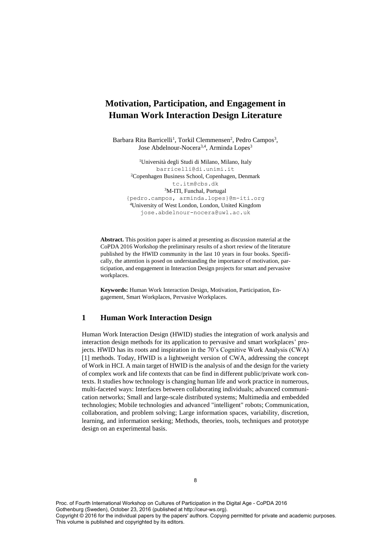# **Motivation, Participation, and Engagement in Human Work Interaction Design Literature**

Barbara Rita Barricelli<sup>1</sup>, Torkil Clemmensen<sup>2</sup>, Pedro Campos<sup>3</sup>, Jose Abdelnour-Nocera<sup>3,4</sup>, Arminda Lopes<sup>3</sup>

<sup>1</sup>Università degli Studi di Milano, Milano, Italy [barricelli@di.unimi.it](mailto:barricelli@di.unimi.it) <sup>2</sup>Copenhagen Business School, Copenhagen, Denmark [tc.itm@cbs.dk](mailto:tc.itm@cbs.dk) <sup>3</sup>M-ITI, Funchal, Portugal {pedro.campos, arminda.lopes}@m-iti.org <sup>4</sup>University of West London, London, United Kingdom [jose.a](mailto:jose.)bdelnour-nocera@uwl.ac.uk

**Abstract.** This position paper is aimed at presenting as discussion material at the CoPDA 2016 Workshop the preliminary results of a short review of the literature published by the HWID community in the last 10 years in four books. Specifically, the attention is posed on understanding the importance of motivation, participation, and engagement in Interaction Design projects for smart and pervasive workplaces.

**Keywords:** Human Work Interaction Design, Motivation, Participation, Engagement, Smart Workplaces, Pervasive Workplaces.

## **1 Human Work Interaction Design**

Human Work Interaction Design (HWID) studies the integration of work analysis and interaction design methods for its application to pervasive and smart workplaces' projects. HWID has its roots and inspiration in the 70's Cognitive Work Analysis (CWA) [1] methods. Today, HWID is a lightweight version of CWA, addressing the concept of Work in HCI. A main target of HWID is the analysis of and the design for the variety of complex work and life contexts that can be find in different public/private work contexts. It studies how technology is changing human life and work practice in numerous, multi-faceted ways: Interfaces between collaborating individuals; advanced communication networks; Small and large-scale distributed systems; Multimedia and embedded technologies; Mobile technologies and advanced "intelligent" robots; Communication, collaboration, and problem solving; Large information spaces, variability, discretion, learning, and information seeking; Methods, theories, tools, techniques and prototype design on an experimental basis.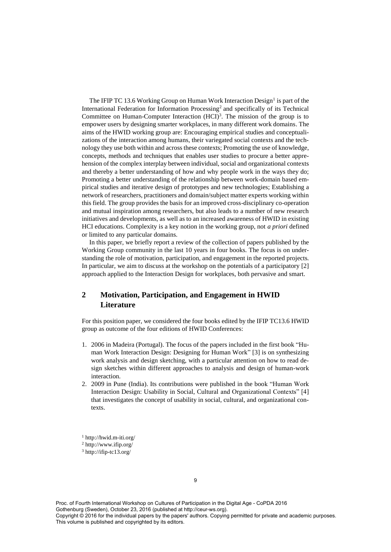The IFIP TC 13.6 Working Group on Human Work Interaction  $Design<sup>1</sup>$  is part of the International Federation for Information Processing<sup>2</sup> and specifically of its Technical Committee on Human-Computer Interaction  $(HCI)<sup>3</sup>$ . The mission of the group is to empower users by designing smarter workplaces, in many different work domains. The aims of the HWID working group are: Encouraging empirical studies and conceptualizations of the interaction among humans, their variegated social contexts and the technology they use both within and across these contexts; Promoting the use of knowledge, concepts, methods and techniques that enables user studies to procure a better apprehension of the complex interplay between individual, social and organizational contexts and thereby a better understanding of how and why people work in the ways they do; Promoting a better understanding of the relationship between work-domain based empirical studies and iterative design of prototypes and new technologies; Establishing a network of researchers, practitioners and domain/subject matter experts working within this field. The group provides the basis for an improved cross-disciplinary co-operation and mutual inspiration among researchers, but also leads to a number of new research initiatives and developments, as well as to an increased awareness of HWID in existing HCI educations. Complexity is a key notion in the working group, not *a priori* defined or limited to any particular domains.

In this paper, we briefly report a review of the collection of papers published by the Working Group community in the last 10 years in four books. The focus is on understanding the role of motivation, participation, and engagement in the reported projects. In particular, we aim to discuss at the workshop on the potentials of a participatory [2] approach applied to the Interaction Design for workplaces, both pervasive and smart.

## **2 Motivation, Participation, and Engagement in HWID Literature**

For this position paper, we considered the four books edited by the IFIP TC13.6 HWID group as outcome of the four editions of HWID Conferences:

- 1. 2006 in Madeira (Portugal). The focus of the papers included in the first book "Human Work Interaction Design: Designing for Human Work" [3] is on synthesizing work analysis and design sketching, with a particular attention on how to read design sketches within different approaches to analysis and design of human-work interaction.
- 2. 2009 in Pune (India). Its contributions were published in the book "Human Work Interaction Design: Usability in Social, Cultural and Organizational Contexts" [4] that investigates the concept of usability in social, cultural, and organizational contexts.

<sup>1</sup> http://hwid.m-iti.org/

<sup>2</sup> http://www.ifip.org/

<sup>3</sup> http://ifip-tc13.org/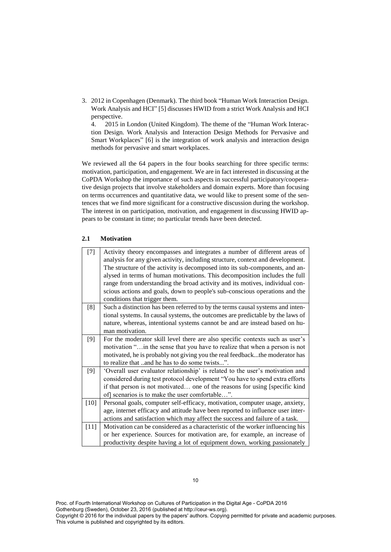3. 2012 in Copenhagen (Denmark). The third book "Human Work Interaction Design. Work Analysis and HCI" [5] discusses HWID from a strict Work Analysis and HCI perspective.

4. 2015 in London (United Kingdom). The theme of the "Human Work Interaction Design. Work Analysis and Interaction Design Methods for Pervasive and Smart Workplaces" [6] is the integration of work analysis and interaction design methods for pervasive and smart workplaces.

We reviewed all the 64 papers in the four books searching for three specific terms: motivation, participation, and engagement. We are in fact interested in discussing at the CoPDA Workshop the importance of such aspects in successful participatory/cooperative design projects that involve stakeholders and domain experts. More than focusing on terms occurrences and quantitative data, we would like to present some of the sentences that we find more significant for a constructive discussion during the workshop. The interest in on participation, motivation, and engagement in discussing HWID appears to be constant in time; no particular trends have been detected.

#### **2.1 Motivation**

| $[7]$  | Activity theory encompasses and integrates a number of different areas of       |
|--------|---------------------------------------------------------------------------------|
|        | analysis for any given activity, including structure, context and development.  |
|        | The structure of the activity is decomposed into its sub-components, and an-    |
|        | alysed in terms of human motivations. This decomposition includes the full      |
|        | range from understanding the broad activity and its motives, individual con-    |
|        | scious actions and goals, down to people's sub-conscious operations and the     |
|        | conditions that trigger them.                                                   |
| [8]    | Such a distinction has been referred to by the terms causal systems and inten-  |
|        | tional systems. In causal systems, the outcomes are predictable by the laws of  |
|        | nature, whereas, intentional systems cannot be and are instead based on hu-     |
|        | man motivation.                                                                 |
| $[9]$  | For the moderator skill level there are also specific contexts such as user's   |
|        | motivation " in the sense that you have to realize that when a person is not    |
|        | motivated, he is probably not giving you the real feedbackthe moderator has     |
|        | to realize that and he has to do some twists".                                  |
| [9]    | 'Overall user evaluator relationship' is related to the user's motivation and   |
|        | considered during test protocol development "You have to spend extra efforts    |
|        | if that person is not motivated one of the reasons for using [specific kind     |
|        | of] scenarios is to make the user comfortable".                                 |
| $[10]$ | Personal goals, computer self-efficacy, motivation, computer usage, anxiety,    |
|        | age, internet efficacy and attitude have been reported to influence user inter- |
|        | actions and satisfaction which may affect the success and failure of a task.    |
| $[11]$ | Motivation can be considered as a characteristic of the worker influencing his  |
|        | or her experience. Sources for motivation are, for example, an increase of      |
|        | productivity despite having a lot of equipment down, working passionately       |
|        |                                                                                 |

Proc. of Fourth International Workshop on Cultures of Participation in the Digital Age - CoPDA 2016 Gothenburg (Sweden), October 23, 2016 (published at http://ceur-ws.org). Copyright © 2016 for the individual papers by the papers' authors. Copying permitted for private and academic purposes. This volume is published and copyrighted by its editors.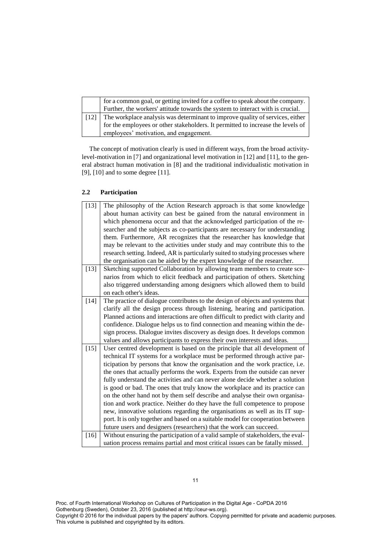|      | for a common goal, or getting invited for a coffee to speak about the company.  |
|------|---------------------------------------------------------------------------------|
|      | Further, the workers' attitude towards the system to interact with is crucial.  |
| [12] | The workplace analysis was determinant to improve quality of services, either   |
|      | for the employees or other stakeholders. It permitted to increase the levels of |
|      | employees' motivation, and engagement.                                          |

The concept of motivation clearly is used in different ways, from the broad activitylevel-motivation in [7] and organizational level motivation in [12] and [11], to the general abstract human motivation in [8] and the traditional individualistic motivation in [9], [10] and to some degree [11].

### **2.2 Participation**

| $[13]$ | The philosophy of the Action Research approach is that some knowledge<br>about human activity can best be gained from the natural environment in<br>which phenomena occur and that the acknowledged participation of the re-<br>searcher and the subjects as co-participants are necessary for understanding<br>them. Furthermore, AR recognizes that the researcher has knowledge that<br>may be relevant to the activities under study and may contribute this to the<br>research setting. Indeed, AR is particularly suited to studying processes where                                                                                                                                                                                                                                                                                                                                       |
|--------|--------------------------------------------------------------------------------------------------------------------------------------------------------------------------------------------------------------------------------------------------------------------------------------------------------------------------------------------------------------------------------------------------------------------------------------------------------------------------------------------------------------------------------------------------------------------------------------------------------------------------------------------------------------------------------------------------------------------------------------------------------------------------------------------------------------------------------------------------------------------------------------------------|
|        | the organisation can be aided by the expert knowledge of the researcher.<br>Sketching supported Collaboration by allowing team members to create sce-                                                                                                                                                                                                                                                                                                                                                                                                                                                                                                                                                                                                                                                                                                                                            |
| $[13]$ | narios from which to elicit feedback and participation of others. Sketching                                                                                                                                                                                                                                                                                                                                                                                                                                                                                                                                                                                                                                                                                                                                                                                                                      |
|        | also triggered understanding among designers which allowed them to build                                                                                                                                                                                                                                                                                                                                                                                                                                                                                                                                                                                                                                                                                                                                                                                                                         |
|        | on each other's ideas.                                                                                                                                                                                                                                                                                                                                                                                                                                                                                                                                                                                                                                                                                                                                                                                                                                                                           |
| $[14]$ | The practice of dialogue contributes to the design of objects and systems that                                                                                                                                                                                                                                                                                                                                                                                                                                                                                                                                                                                                                                                                                                                                                                                                                   |
|        | clarify all the design process through listening, hearing and participation.                                                                                                                                                                                                                                                                                                                                                                                                                                                                                                                                                                                                                                                                                                                                                                                                                     |
|        | Planned actions and interactions are often difficult to predict with clarity and                                                                                                                                                                                                                                                                                                                                                                                                                                                                                                                                                                                                                                                                                                                                                                                                                 |
|        | confidence. Dialogue helps us to find connection and meaning within the de-                                                                                                                                                                                                                                                                                                                                                                                                                                                                                                                                                                                                                                                                                                                                                                                                                      |
|        | sign process. Dialogue invites discovery as design does. It develops common                                                                                                                                                                                                                                                                                                                                                                                                                                                                                                                                                                                                                                                                                                                                                                                                                      |
|        | values and allows participants to express their own interests and ideas.                                                                                                                                                                                                                                                                                                                                                                                                                                                                                                                                                                                                                                                                                                                                                                                                                         |
| $[15]$ | User centred development is based on the principle that all development of<br>technical IT systems for a workplace must be performed through active par-<br>ticipation by persons that know the organisation and the work practice, i.e.<br>the ones that actually performs the work. Experts from the outside can never<br>fully understand the activities and can never alone decide whether a solution<br>is good or bad. The ones that truly know the workplace and its practice can<br>on the other hand not by them self describe and analyse their own organisa-<br>tion and work practice. Neither do they have the full competence to propose<br>new, innovative solutions regarding the organisations as well as its IT sup-<br>port. It is only together and based on a suitable model for cooperation between<br>future users and designers (researchers) that the work can succeed. |
| $[16]$ | Without ensuring the participation of a valid sample of stakeholders, the eval-                                                                                                                                                                                                                                                                                                                                                                                                                                                                                                                                                                                                                                                                                                                                                                                                                  |
|        | uation process remains partial and most critical issues can be fatally missed.                                                                                                                                                                                                                                                                                                                                                                                                                                                                                                                                                                                                                                                                                                                                                                                                                   |

Proc. of Fourth International Workshop on Cultures of Participation in the Digital Age - CoPDA 2016 Gothenburg (Sweden), October 23, 2016 (published at http://ceur-ws.org). Copyright © 2016 for the individual papers by the papers' authors. Copying permitted for private and academic purposes. This volume is published and copyrighted by its editors.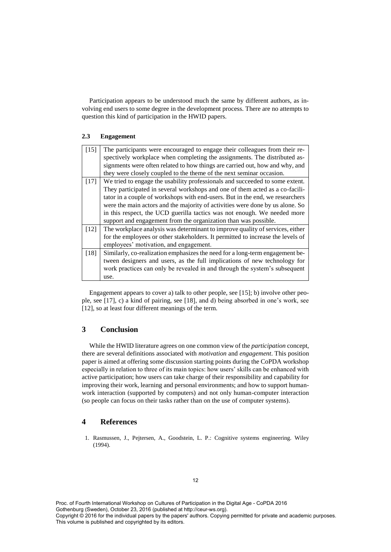Participation appears to be understood much the same by different authors, as involving end users to some degree in the development process. There are no attempts to question this kind of participation in the HWID papers.

#### **2.3 Engagement**

| $[15]$ | The participants were encouraged to engage their colleagues from their re-      |
|--------|---------------------------------------------------------------------------------|
|        | spectively workplace when completing the assignments. The distributed as-       |
|        | signments were often related to how things are carried out, how and why, and    |
|        | they were closely coupled to the theme of the next seminar occasion.            |
| $[17]$ | We tried to engage the usability professionals and succeeded to some extent.    |
|        | They participated in several workshops and one of them acted as a co-facili-    |
|        | tator in a couple of workshops with end-users. But in the end, we researchers   |
|        | were the main actors and the majority of activities were done by us alone. So   |
|        | in this respect, the UCD guerilla tactics was not enough. We needed more        |
|        | support and engagement from the organization than was possible.                 |
| $[12]$ | The workplace analysis was determinant to improve quality of services, either   |
|        | for the employees or other stakeholders. It permitted to increase the levels of |
|        | employees' motivation, and engagement.                                          |
| $[18]$ | Similarly, co-realization emphasizes the need for a long-term engagement be-    |
|        | tween designers and users, as the full implications of new technology for       |
|        | work practices can only be revealed in and through the system's subsequent      |
|        | use.                                                                            |

Engagement appears to cover a) talk to other people, see [15]; b) involve other people, see [17], c) a kind of pairing, see [18], and d) being absorbed in one's work, see [12], so at least four different meanings of the term.

## **3 Conclusion**

While the HWID literature agrees on one common view of the *participation* concept, there are several definitions associated with *motivation* and *engagement*. This position paper is aimed at offering some discussion starting points during the CoPDA workshop especially in relation to three of its main topics: how users' skills can be enhanced with active participation; how users can take charge of their responsibility and capability for improving their work, learning and personal environments; and how to support humanwork interaction (supported by computers) and not only human-computer interaction (so people can focus on their tasks rather than on the use of computer systems).

#### **4 References**

1. Rasmussen, J., Pejtersen, A., Goodstein, L. P.: Cognitive systems engineering. Wiley (1994).

Proc. of Fourth International Workshop on Cultures of Participation in the Digital Age - CoPDA 2016 Gothenburg (Sweden), October 23, 2016 (published at http://ceur-ws.org). Copyright © 2016 for the individual papers by the papers' authors. Copying permitted for private and academic purposes. This volume is published and copyrighted by its editors.